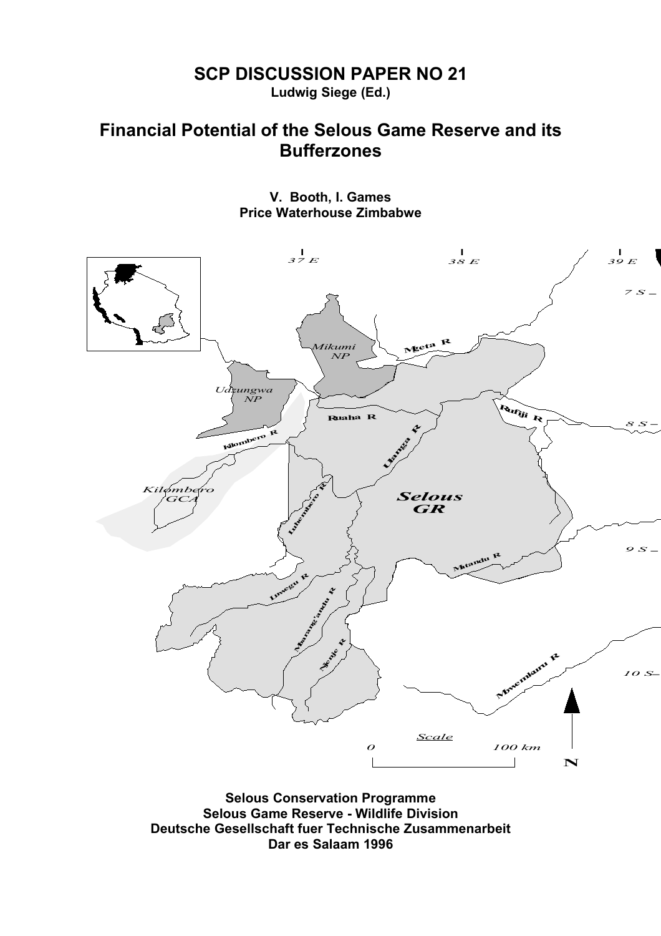# **SCP DISCUSSION PAPER NO 21**

**Ludwig Siege (Ed.)**

# **Financial Potential of the Selous Game Reserve and its Bufferzones**

**V. Booth, I. Games Price Waterhouse Zimbabwe**



**Selous Game Reserve - Wildlife Division Deutsche Gesellschaft fuer Technische Zusammenarbeit Dar es Salaam 1996**

-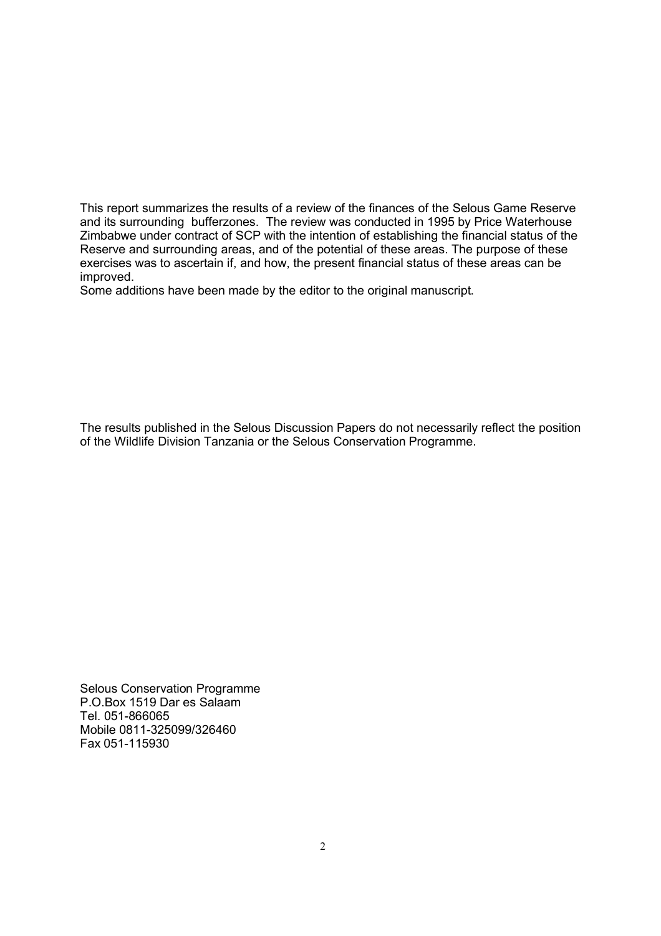This report summarizes the results of a review of the finances of the Selous Game Reserve and its surrounding bufferzones. The review was conducted in 1995 by Price Waterhouse Zimbabwe under contract of SCP with the intention of establishing the financial status of the Reserve and surrounding areas, and of the potential of these areas. The purpose of these exercises was to ascertain if, and how, the present financial status of these areas can be improved.

Some additions have been made by the editor to the original manuscript.

The results published in the Selous Discussion Papers do not necessarily reflect the position of the Wildlife Division Tanzania or the Selous Conservation Programme.

Selous Conservation Programme P.O.Box 1519 Dar es Salaam Tel. 051-866065 Mobile 0811-325099/326460 Fax 051-115930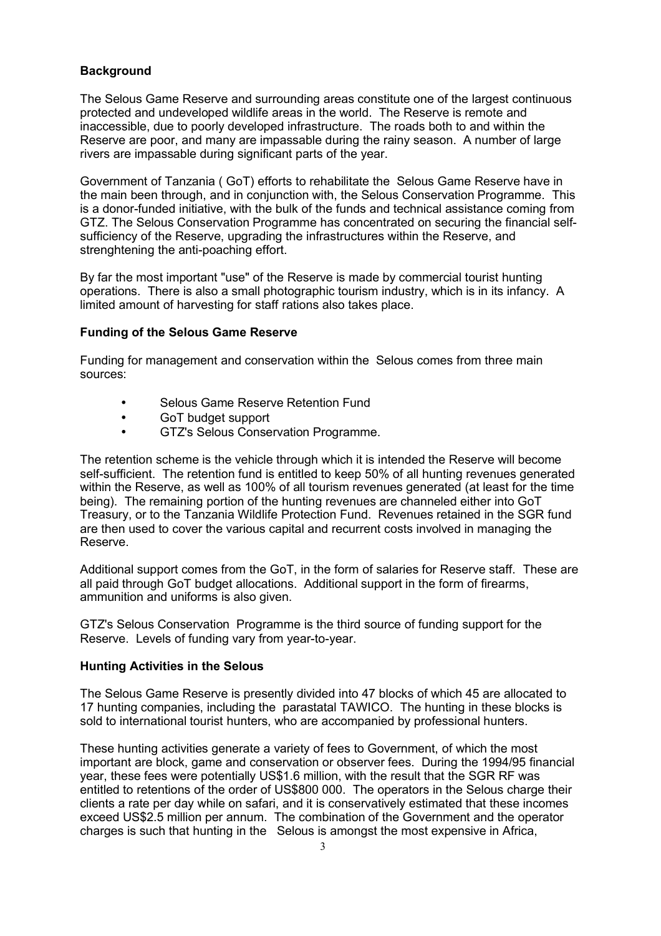# **Background**

The Selous Game Reserve and surrounding areas constitute one of the largest continuous protected and undeveloped wildlife areas in the world. The Reserve is remote and inaccessible, due to poorly developed infrastructure. The roads both to and within the Reserve are poor, and many are impassable during the rainy season. A number of large rivers are impassable during significant parts of the year.

Government of Tanzania ( GoT) efforts to rehabilitate the Selous Game Reserve have in the main been through, and in conjunction with, the Selous Conservation Programme. This is a donor-funded initiative, with the bulk of the funds and technical assistance coming from GTZ. The Selous Conservation Programme has concentrated on securing the financial selfsufficiency of the Reserve, upgrading the infrastructures within the Reserve, and strenghtening the anti-poaching effort.

By far the most important "use" of the Reserve is made by commercial tourist hunting operations. There is also a small photographic tourism industry, which is in its infancy. A limited amount of harvesting for staff rations also takes place.

### **Funding of the Selous Game Reserve**

Funding for management and conservation within the Selous comes from three main sources:

- Selous Game Reserve Retention Fund
- GoT budget support
- GTZ's Selous Conservation Programme.

The retention scheme is the vehicle through which it is intended the Reserve will become self-sufficient. The retention fund is entitled to keep 50% of all hunting revenues generated within the Reserve, as well as 100% of all tourism revenues generated (at least for the time being). The remaining portion of the hunting revenues are channeled either into GoT Treasury, or to the Tanzania Wildlife Protection Fund. Revenues retained in the SGR fund are then used to cover the various capital and recurrent costs involved in managing the Reserve.

Additional support comes from the GoT, in the form of salaries for Reserve staff. These are all paid through GoT budget allocations. Additional support in the form of firearms, ammunition and uniforms is also given.

GTZ's Selous Conservation Programme is the third source of funding support for the Reserve. Levels of funding vary from year-to-year.

### **Hunting Activities in the Selous**

The Selous Game Reserve is presently divided into 47 blocks of which 45 are allocated to 17 hunting companies, including the parastatal TAWICO. The hunting in these blocks is sold to international tourist hunters, who are accompanied by professional hunters.

These hunting activities generate a variety of fees to Government, of which the most important are block, game and conservation or observer fees. During the 1994/95 financial year, these fees were potentially US\$1.6 million, with the result that the SGR RF was entitled to retentions of the order of US\$800 000. The operators in the Selous charge their clients a rate per day while on safari, and it is conservatively estimated that these incomes exceed US\$2.5 million per annum. The combination of the Government and the operator charges is such that hunting in the Selous is amongst the most expensive in Africa,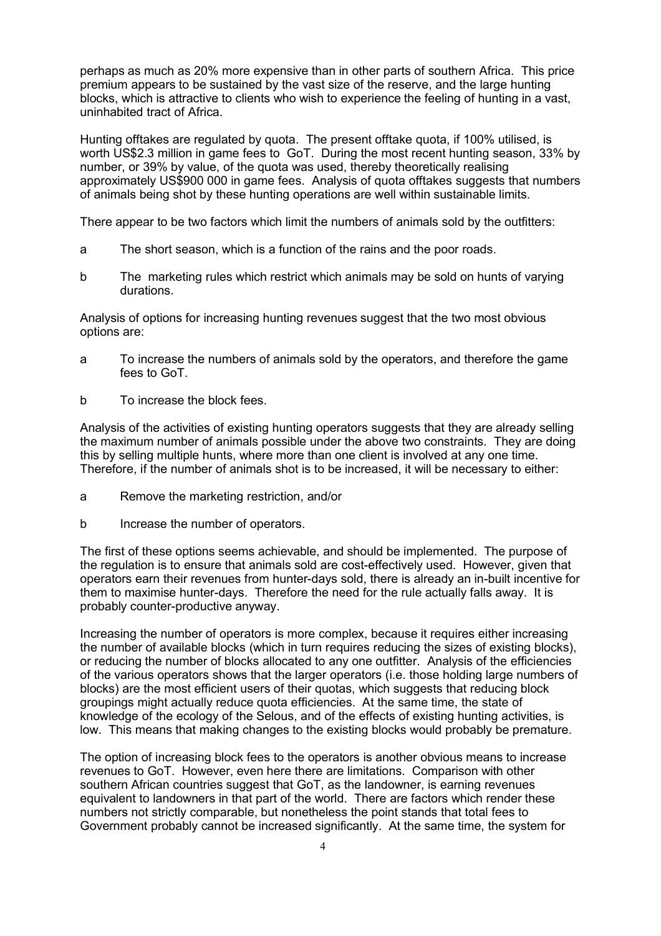perhaps as much as 20% more expensive than in other parts of southern Africa. This price premium appears to be sustained by the vast size of the reserve, and the large hunting blocks, which is attractive to clients who wish to experience the feeling of hunting in a vast, uninhabited tract of Africa.

Hunting offtakes are regulated by quota. The present offtake quota, if 100% utilised, is worth US\$2.3 million in game fees to GoT. During the most recent hunting season, 33% by number, or 39% by value, of the quota was used, thereby theoretically realising approximately US\$900 000 in game fees. Analysis of quota offtakes suggests that numbers of animals being shot by these hunting operations are well within sustainable limits.

There appear to be two factors which limit the numbers of animals sold by the outfitters:

- a The short season, which is a function of the rains and the poor roads.
- b The marketing rules which restrict which animals may be sold on hunts of varying durations.

Analysis of options for increasing hunting revenues suggest that the two most obvious options are:

- a To increase the numbers of animals sold by the operators, and therefore the game fees to GoT.
- b To increase the block fees.

Analysis of the activities of existing hunting operators suggests that they are already selling the maximum number of animals possible under the above two constraints. They are doing this by selling multiple hunts, where more than one client is involved at any one time. Therefore, if the number of animals shot is to be increased, it will be necessary to either:

- a Remove the marketing restriction, and/or
- b Increase the number of operators.

The first of these options seems achievable, and should be implemented. The purpose of the regulation is to ensure that animals sold are cost-effectively used. However, given that operators earn their revenues from hunter-days sold, there is already an in-built incentive for them to maximise hunter-days. Therefore the need for the rule actually falls away. It is probably counter-productive anyway.

Increasing the number of operators is more complex, because it requires either increasing the number of available blocks (which in turn requires reducing the sizes of existing blocks), or reducing the number of blocks allocated to any one outfitter. Analysis of the efficiencies of the various operators shows that the larger operators (i.e. those holding large numbers of blocks) are the most efficient users of their quotas, which suggests that reducing block groupings might actually reduce quota efficiencies. At the same time, the state of knowledge of the ecology of the Selous, and of the effects of existing hunting activities, is low. This means that making changes to the existing blocks would probably be premature.

The option of increasing block fees to the operators is another obvious means to increase revenues to GoT. However, even here there are limitations. Comparison with other southern African countries suggest that GoT, as the landowner, is earning revenues equivalent to landowners in that part of the world. There are factors which render these numbers not strictly comparable, but nonetheless the point stands that total fees to Government probably cannot be increased significantly. At the same time, the system for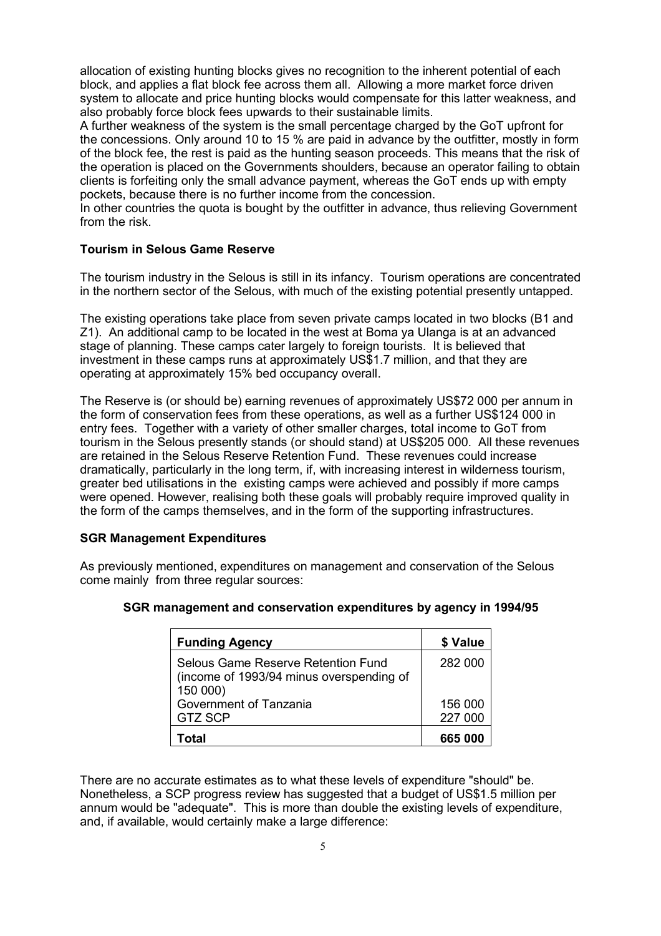allocation of existing hunting blocks gives no recognition to the inherent potential of each block, and applies a flat block fee across them all. Allowing a more market force driven system to allocate and price hunting blocks would compensate for this latter weakness, and also probably force block fees upwards to their sustainable limits.

A further weakness of the system is the small percentage charged by the GoT upfront for the concessions. Only around 10 to 15 % are paid in advance by the outfitter, mostly in form of the block fee, the rest is paid as the hunting season proceeds. This means that the risk of the operation is placed on the Governments shoulders, because an operator failing to obtain clients is forfeiting only the small advance payment, whereas the GoT ends up with empty pockets, because there is no further income from the concession.

In other countries the quota is bought by the outfitter in advance, thus relieving Government from the risk.

# **Tourism in Selous Game Reserve**

The tourism industry in the Selous is still in its infancy. Tourism operations are concentrated in the northern sector of the Selous, with much of the existing potential presently untapped.

The existing operations take place from seven private camps located in two blocks (B1 and Z1). An additional camp to be located in the west at Boma ya Ulanga is at an advanced stage of planning. These camps cater largely to foreign tourists. It is believed that investment in these camps runs at approximately US\$1.7 million, and that they are operating at approximately 15% bed occupancy overall.

The Reserve is (or should be) earning revenues of approximately US\$72 000 per annum in the form of conservation fees from these operations, as well as a further US\$124 000 in entry fees. Together with a variety of other smaller charges, total income to GoT from tourism in the Selous presently stands (or should stand) at US\$205 000. All these revenues are retained in the Selous Reserve Retention Fund. These revenues could increase dramatically, particularly in the long term, if, with increasing interest in wilderness tourism, greater bed utilisations in the existing camps were achieved and possibly if more camps were opened. However, realising both these goals will probably require improved quality in the form of the camps themselves, and in the form of the supporting infrastructures.

### **SGR Management Expenditures**

As previously mentioned, expenditures on management and conservation of the Selous come mainly from three regular sources:

| <b>Funding Agency</b>                                                                      | \$ Value           |
|--------------------------------------------------------------------------------------------|--------------------|
| Selous Game Reserve Retention Fund<br>(income of 1993/94 minus overspending of<br>150 000) | 282 000            |
| Government of Tanzania<br><b>GTZ SCP</b>                                                   | 156 000<br>227 000 |
| Total                                                                                      | 665 000            |

### **SGR management and conservation expenditures by agency in 1994/95**

There are no accurate estimates as to what these levels of expenditure "should" be. Nonetheless, a SCP progress review has suggested that a budget of US\$1.5 million per annum would be "adequate". This is more than double the existing levels of expenditure, and, if available, would certainly make a large difference: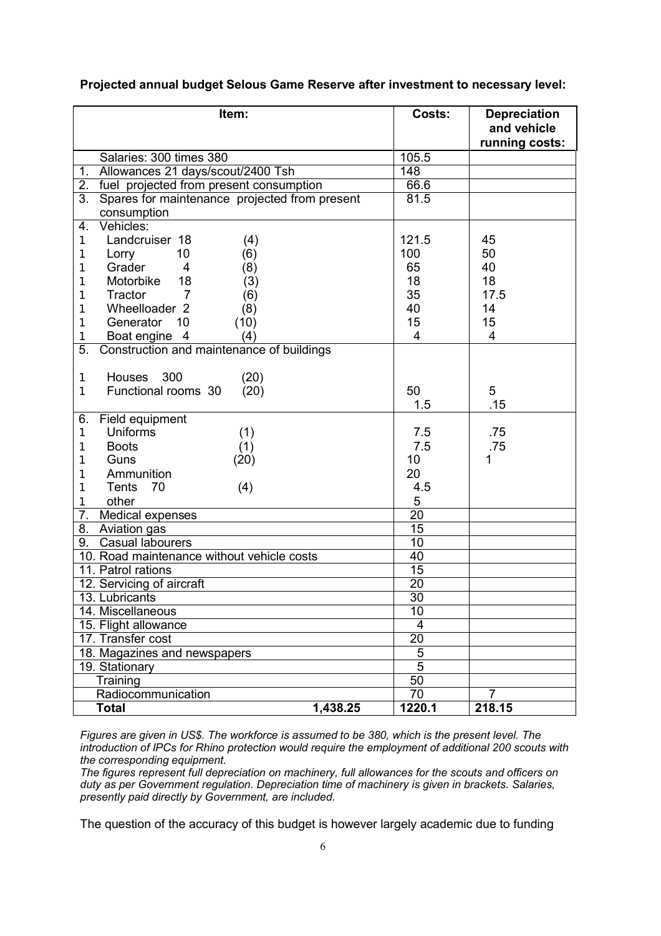| Item:                                               | Costs:          | <b>Depreciation</b><br>and vehicle<br>running costs: |
|-----------------------------------------------------|-----------------|------------------------------------------------------|
| Salaries: 300 times 380                             | 105.5           |                                                      |
| Allowances 21 days/scout/2400 Tsh<br>1.             | 148             |                                                      |
| fuel projected from present consumption<br>2.       | 66.6            |                                                      |
| Spares for maintenance projected from present<br>3. | 81.5            |                                                      |
| consumption                                         |                 |                                                      |
| Vehicles:<br>4.                                     |                 |                                                      |
| Landcruiser 18<br>(4)<br>1                          | 121.5           | 45                                                   |
| 10<br>(6)<br>Lorry<br>1                             | 100             | 50                                                   |
| Grader<br>4<br>(8)<br>1                             | 65              | 40                                                   |
| Motorbike<br>18<br>(3)<br>1                         | 18              | 18                                                   |
| $\overline{7}$<br>Tractor<br>(6)<br>1               | 35              | 17.5                                                 |
| Wheelloader 2<br>(8)<br>1                           | 40              | 14                                                   |
| Generator<br>10<br>(10)<br>1                        | 15              | 15                                                   |
| Boat engine 4<br>(4)<br>1                           | 4               | $\overline{4}$                                       |
| 5.<br>Construction and maintenance of buildings     |                 |                                                      |
|                                                     |                 |                                                      |
| <b>Houses</b><br>300<br>(20)<br>$\mathbf{1}$        |                 |                                                      |
| Functional rooms 30<br>(20)<br>1                    | 50              | 5                                                    |
|                                                     | 1.5             | .15                                                  |
| Field equipment<br>6.                               |                 |                                                      |
| <b>Uniforms</b><br>(1)<br>$\mathbf{1}$              | 7.5             | .75                                                  |
| <b>Boots</b><br>(1)<br>1                            | 7.5             | .75                                                  |
| Guns<br>(20)<br>1                                   | 10              | 1                                                    |
| Ammunition<br>1                                     | 20              |                                                      |
| <b>Tents</b><br>70<br>(4)<br>1                      | 4.5             |                                                      |
| other<br>1                                          | 5               |                                                      |
| 7.<br>Medical expenses                              | $\overline{20}$ |                                                      |
| 8.<br>Aviation gas                                  | 15              |                                                      |
| Casual labourers<br>9.                              | 10              |                                                      |
| 10. Road maintenance without vehicle costs          | 40              |                                                      |
| 11. Patrol rations                                  | $\overline{15}$ |                                                      |
| 12. Servicing of aircraft                           | $\overline{20}$ |                                                      |
| 13. Lubricants                                      | $\overline{30}$ |                                                      |
| 14. Miscellaneous                                   | 10              |                                                      |
| 15. Flight allowance                                | 4               |                                                      |
| 17. Transfer cost                                   | 20              |                                                      |
| 18. Magazines and newspapers                        | 5               |                                                      |
| 19. Stationary                                      | $\overline{5}$  |                                                      |
| Training                                            | $\overline{50}$ |                                                      |
| Radiocommunication                                  | 70              | 7                                                    |
| 1,438.25<br><b>Total</b>                            | 1220.1          | 218.15                                               |

# **Projected annual budget Selous Game Reserve after investment to necessary level:**

*Figures are given in US\$. The workforce is assumed to be 380, which is the present level. The introduction of IPCs for Rhino protection would require the employment of additional 200 scouts with the corresponding equipment.* 

*The figures represent full depreciation on machinery, full allowances for the scouts and officers on duty as per Government regulation. Depreciation time of machinery is given in brackets. Salaries, presently paid directly by Government, are included.* 

The question of the accuracy of this budget is however largely academic due to funding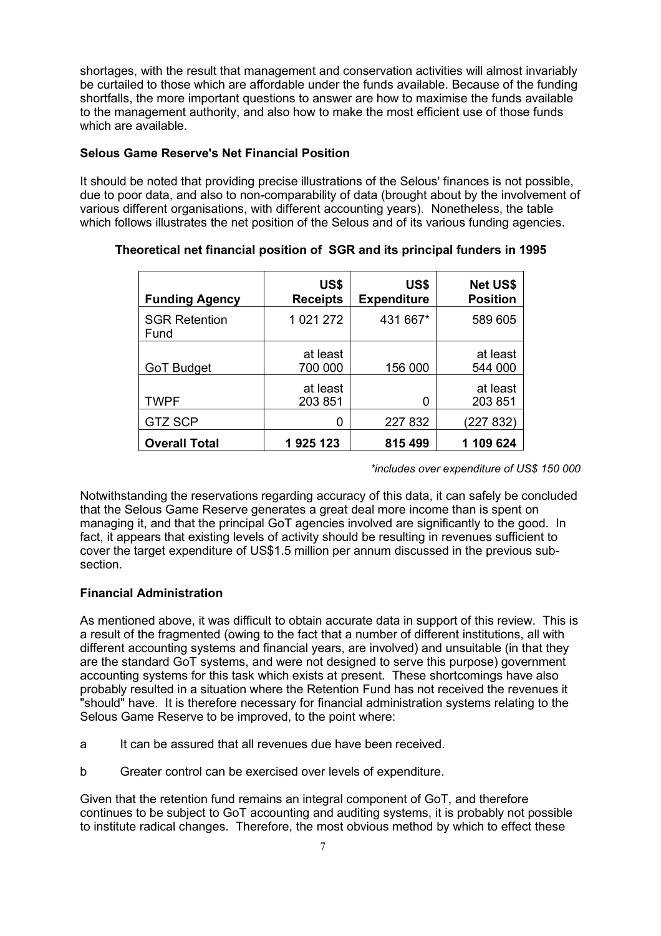shortages, with the result that management and conservation activities will almost invariably be curtailed to those which are affordable under the funds available. Because of the funding shortfalls, the more important questions to answer are how to maximise the funds available to the management authority, and also how to make the most efficient use of those funds which are available.

# **Selous Game Reserve's Net Financial Position**

It should be noted that providing precise illustrations of the Selous' finances is not possible, due to poor data, and also to non-comparability of data (brought about by the involvement of various different organisations, with different accounting years). Nonetheless, the table which follows illustrates the net position of the Selous and of its various funding agencies.

| <b>Funding Agency</b>        | US\$<br><b>Receipts</b> | US\$<br><b>Expenditure</b> | <b>Net US\$</b><br><b>Position</b> |
|------------------------------|-------------------------|----------------------------|------------------------------------|
| <b>SGR Retention</b><br>Fund | 1 021 272               | 431 667*                   | 589 605                            |
| <b>GoT Budget</b>            | at least<br>700 000     | 156 000                    | at least<br>544 000                |
| <b>TWPF</b>                  | at least<br>203 851     | 0                          | at least<br>203 851                |
| <b>GTZ SCP</b>               | 0                       | 227 832                    | (227 832)                          |
| <b>Overall Total</b>         | 1925123                 | 815 499                    | 1 109 624                          |

# **Theoretical net financial position of SGR and its principal funders in 1995**

*\*includes over expenditure of US\$ 150 000*

Notwithstanding the reservations regarding accuracy of this data, it can safely be concluded that the Selous Game Reserve generates a great deal more income than is spent on managing it, and that the principal GoT agencies involved are significantly to the good. In fact, it appears that existing levels of activity should be resulting in revenues sufficient to cover the target expenditure of US\$1.5 million per annum discussed in the previous subsection.

# **Financial Administration**

As mentioned above, it was difficult to obtain accurate data in support of this review. This is a result of the fragmented (owing to the fact that a number of different institutions, all with different accounting systems and financial years, are involved) and unsuitable (in that they are the standard GoT systems, and were not designed to serve this purpose) government accounting systems for this task which exists at present. These shortcomings have also probably resulted in a situation where the Retention Fund has not received the revenues it "should" have. It is therefore necessary for financial administration systems relating to the Selous Game Reserve to be improved, to the point where:

- a It can be assured that all revenues due have been received.
- b Greater control can be exercised over levels of expenditure.

Given that the retention fund remains an integral component of GoT, and therefore continues to be subject to GoT accounting and auditing systems, it is probably not possible to institute radical changes. Therefore, the most obvious method by which to effect these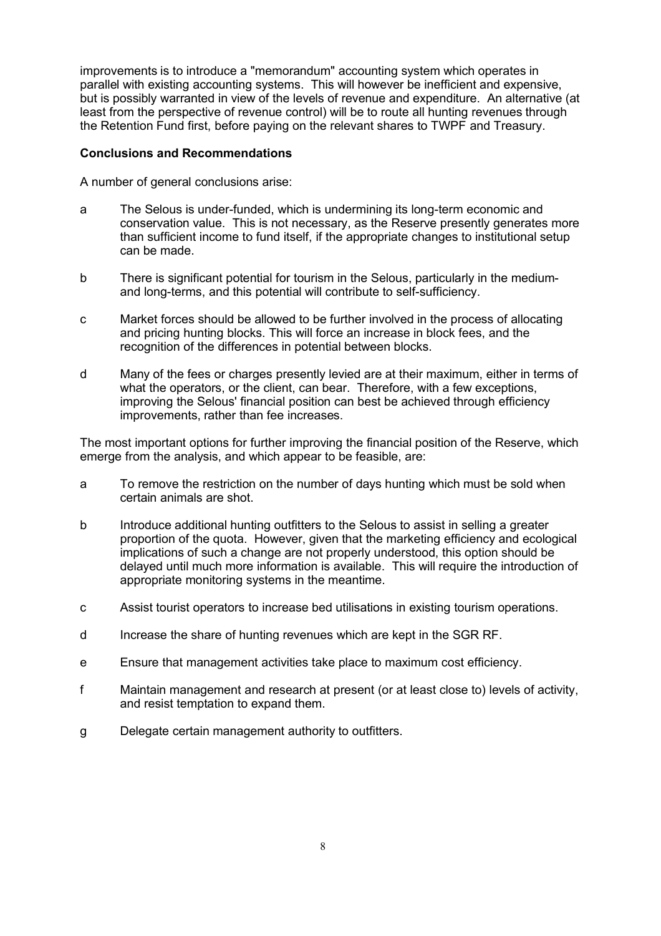improvements is to introduce a "memorandum" accounting system which operates in parallel with existing accounting systems. This will however be inefficient and expensive, but is possibly warranted in view of the levels of revenue and expenditure. An alternative (at least from the perspective of revenue control) will be to route all hunting revenues through the Retention Fund first, before paying on the relevant shares to TWPF and Treasury.

# **Conclusions and Recommendations**

A number of general conclusions arise:

- a The Selous is under-funded, which is undermining its long-term economic and conservation value. This is not necessary, as the Reserve presently generates more than sufficient income to fund itself, if the appropriate changes to institutional setup can be made.
- b There is significant potential for tourism in the Selous, particularly in the mediumand long-terms, and this potential will contribute to self-sufficiency.
- c Market forces should be allowed to be further involved in the process of allocating and pricing hunting blocks. This will force an increase in block fees, and the recognition of the differences in potential between blocks.
- d Many of the fees or charges presently levied are at their maximum, either in terms of what the operators, or the client, can bear. Therefore, with a few exceptions, improving the Selous' financial position can best be achieved through efficiency improvements, rather than fee increases.

The most important options for further improving the financial position of the Reserve, which emerge from the analysis, and which appear to be feasible, are:

- a To remove the restriction on the number of days hunting which must be sold when certain animals are shot.
- b Introduce additional hunting outfitters to the Selous to assist in selling a greater proportion of the quota. However, given that the marketing efficiency and ecological implications of such a change are not properly understood, this option should be delayed until much more information is available. This will require the introduction of appropriate monitoring systems in the meantime.
- c Assist tourist operators to increase bed utilisations in existing tourism operations.
- d Increase the share of hunting revenues which are kept in the SGR RF.
- e Ensure that management activities take place to maximum cost efficiency.
- f Maintain management and research at present (or at least close to) levels of activity, and resist temptation to expand them.
- g Delegate certain management authority to outfitters.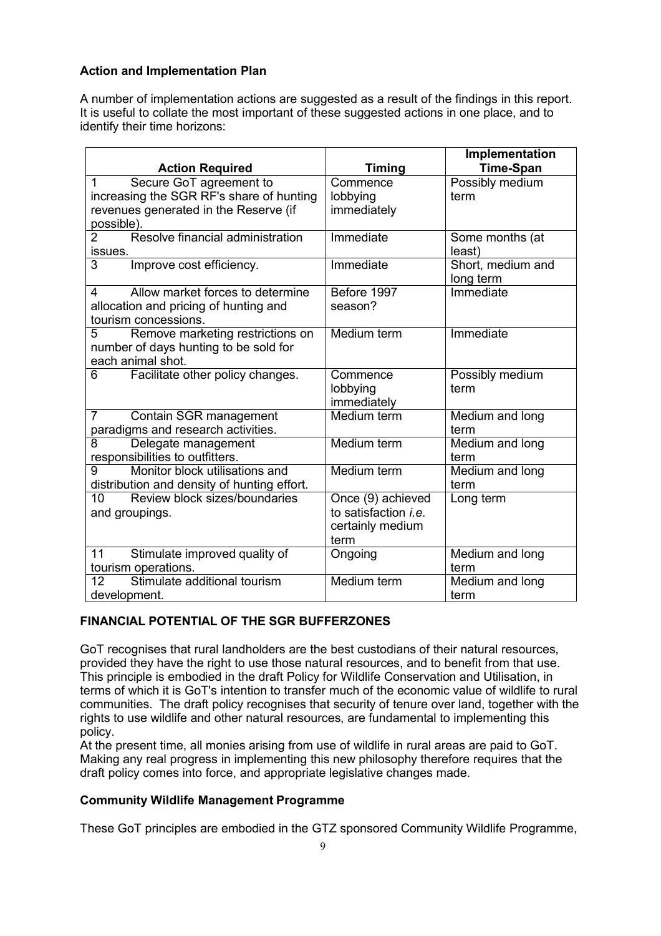# **Action and Implementation Plan**

A number of implementation actions are suggested as a result of the findings in this report. It is useful to collate the most important of these suggested actions in one place, and to identify their time horizons:

|                                                           |                             | Implementation          |
|-----------------------------------------------------------|-----------------------------|-------------------------|
| <b>Action Required</b>                                    | <b>Timing</b>               | <b>Time-Span</b>        |
| Secure GoT agreement to<br>1                              | Commence                    | Possibly medium         |
| increasing the SGR RF's share of hunting                  | lobbying                    | term                    |
| revenues generated in the Reserve (if                     | immediately                 |                         |
| possible).                                                |                             |                         |
| Resolve financial administration<br>$\overline{2}$        | Immediate                   | Some months (at         |
| issues.                                                   |                             | least)                  |
| 3<br>Improve cost efficiency.                             | Immediate                   | Short, medium and       |
|                                                           |                             | long term               |
| Allow market forces to determine<br>4                     | Before 1997                 | Immediate               |
| allocation and pricing of hunting and                     | season?                     |                         |
| tourism concessions.                                      |                             |                         |
| Remove marketing restrictions on<br>5                     | Medium term                 | Immediate               |
| number of days hunting to be sold for                     |                             |                         |
| each animal shot.                                         |                             |                         |
| Facilitate other policy changes.<br>6                     | Commence                    | Possibly medium         |
|                                                           | lobbying                    | term                    |
|                                                           | immediately                 |                         |
| $\overline{7}$<br>Contain SGR management                  | Medium term                 | Medium and long         |
| paradigms and research activities.                        |                             | term                    |
| 8<br>Delegate management                                  | Medium term                 | Medium and long         |
| responsibilities to outfitters.                           |                             | term                    |
| Monitor block utilisations and<br>9                       | Medium term                 | Medium and long         |
| distribution and density of hunting effort.               |                             | term                    |
| 10 <sup>1</sup><br>Review block sizes/boundaries          | Once (9) achieved           | Long term               |
| and groupings.                                            | to satisfaction <i>i.e.</i> |                         |
|                                                           | certainly medium            |                         |
| 11                                                        | term                        |                         |
| Stimulate improved quality of                             | Ongoing                     | Medium and long<br>term |
| tourism operations.<br>Stimulate additional tourism<br>12 | Medium term                 |                         |
|                                                           |                             | Medium and long         |
| development.                                              |                             | term                    |

# **FINANCIAL POTENTIAL OF THE SGR BUFFERZONES**

GoT recognises that rural landholders are the best custodians of their natural resources, provided they have the right to use those natural resources, and to benefit from that use. This principle is embodied in the draft Policy for Wildlife Conservation and Utilisation, in terms of which it is GoT's intention to transfer much of the economic value of wildlife to rural communities. The draft policy recognises that security of tenure over land, together with the rights to use wildlife and other natural resources, are fundamental to implementing this policy.

At the present time, all monies arising from use of wildlife in rural areas are paid to GoT. Making any real progress in implementing this new philosophy therefore requires that the draft policy comes into force, and appropriate legislative changes made.

# **Community Wildlife Management Programme**

These GoT principles are embodied in the GTZ sponsored Community Wildlife Programme,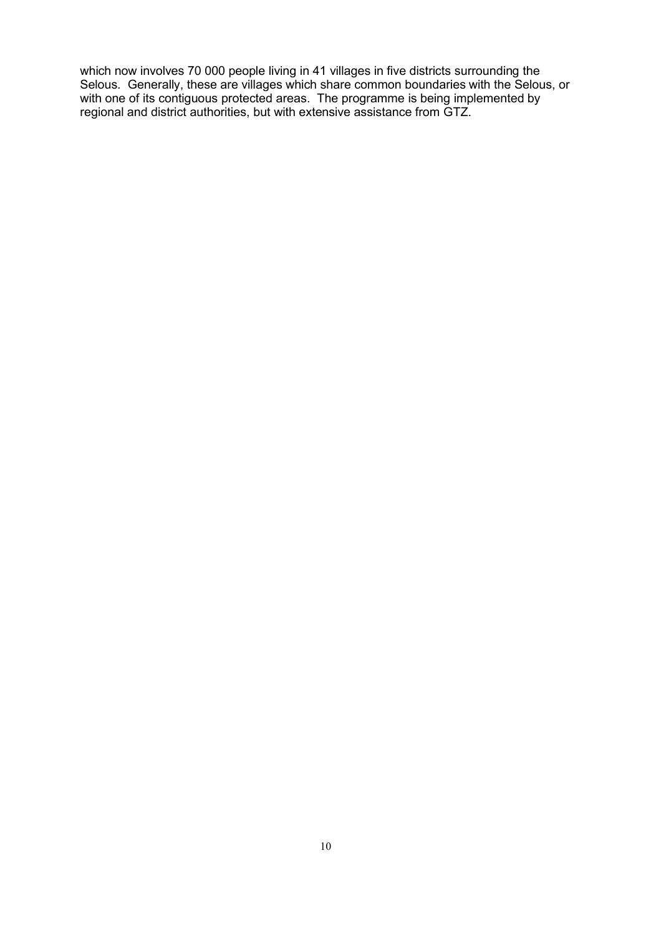which now involves 70 000 people living in 41 villages in five districts surrounding the Selous. Generally, these are villages which share common boundaries with the Selous, or with one of its contiguous protected areas. The programme is being implemented by regional and district authorities, but with extensive assistance from GTZ.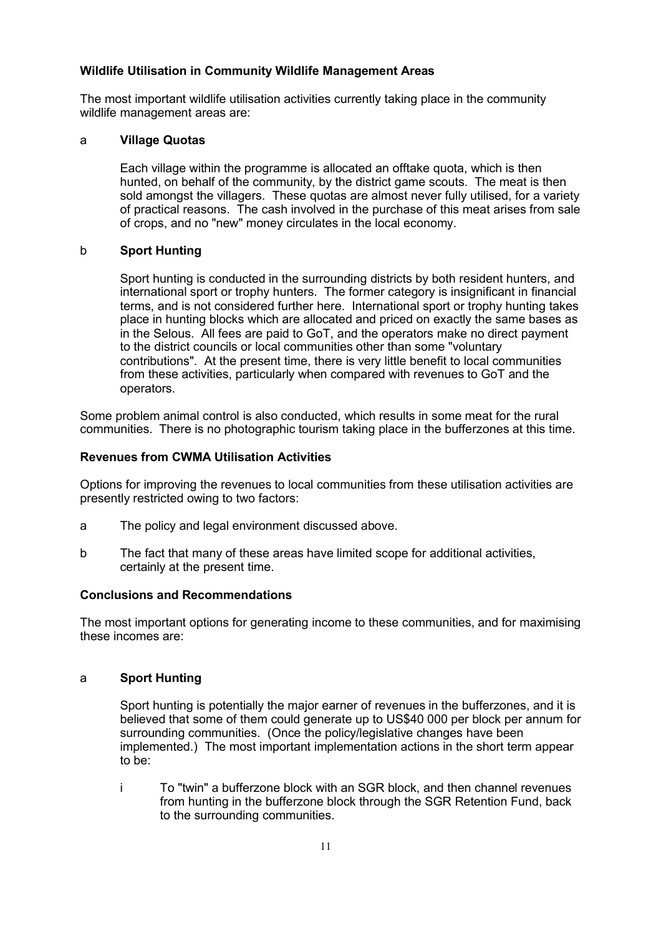# **Wildlife Utilisation in Community Wildlife Management Areas**

The most important wildlife utilisation activities currently taking place in the community wildlife management areas are:

### a **Village Quotas**

Each village within the programme is allocated an offtake quota, which is then hunted, on behalf of the community, by the district game scouts. The meat is then sold amongst the villagers. These quotas are almost never fully utilised, for a variety of practical reasons. The cash involved in the purchase of this meat arises from sale of crops, and no "new" money circulates in the local economy.

# b **Sport Hunting**

Sport hunting is conducted in the surrounding districts by both resident hunters, and international sport or trophy hunters. The former category is insignificant in financial terms, and is not considered further here. International sport or trophy hunting takes place in hunting blocks which are allocated and priced on exactly the same bases as in the Selous. All fees are paid to GoT, and the operators make no direct payment to the district councils or local communities other than some "voluntary contributions". At the present time, there is very little benefit to local communities from these activities, particularly when compared with revenues to GoT and the operators.

Some problem animal control is also conducted, which results in some meat for the rural communities. There is no photographic tourism taking place in the bufferzones at this time.

# **Revenues from CWMA Utilisation Activities**

Options for improving the revenues to local communities from these utilisation activities are presently restricted owing to two factors:

- a The policy and legal environment discussed above.
- b The fact that many of these areas have limited scope for additional activities, certainly at the present time.

### **Conclusions and Recommendations**

The most important options for generating income to these communities, and for maximising these incomes are:

### a **Sport Hunting**

Sport hunting is potentially the major earner of revenues in the bufferzones, and it is believed that some of them could generate up to US\$40 000 per block per annum for surrounding communities. (Once the policy/legislative changes have been implemented.) The most important implementation actions in the short term appear to be:

i To "twin" a bufferzone block with an SGR block, and then channel revenues from hunting in the bufferzone block through the SGR Retention Fund, back to the surrounding communities.